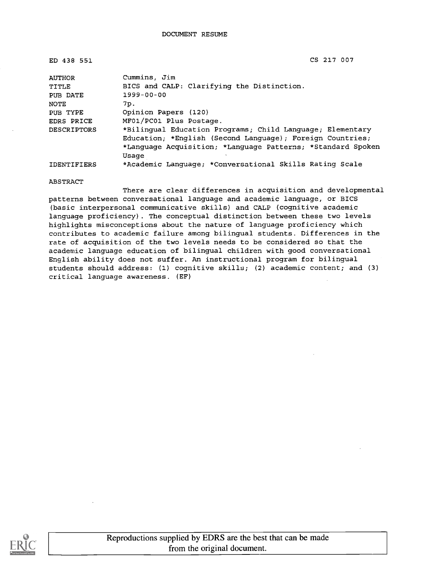ED 438 551 CS 217 007

| AUTHOR             | Cummins, Jim                                                |
|--------------------|-------------------------------------------------------------|
| TITLE              | BICS and CALP: Clarifying the Distinction.                  |
| PUB DATE           | 1999-00-00                                                  |
| NOTE               | 7p.                                                         |
| PUB TYPE           | Opinion Papers (120)                                        |
| <b>EDRS PRICE</b>  | MF01/PC01 Plus Postage.                                     |
| <b>DESCRIPTORS</b> | *Bilingual Education Programs; Child Language; Elementary   |
|                    | Education: *English (Second Language); Foreign Countries;   |
|                    | *Language Acquisition; *Language Patterns; *Standard Spoken |
|                    | Usage                                                       |
| IDENTIFIERS        | *Academic Language; *Conversational Skills Rating Scale     |

ABSTRACT

There are clear differences in acquisition and developmental patterns between conversational language and academic language, or BICS (basic interpersonal communicative skills) and CALP (cognitive academic language proficiency). The conceptual distinction between these two levels highlights misconceptions about the nature of language proficiency which contributes to academic failure among bilingual students. Differences in the rate of acquisition of the two levels needs to be considered so that the academic language education of bilingual children with good conversational English ability does not suffer. An instructional program for bilingual students should address: (1) cognitive skills; (2) academic content; and (3) critical language awareness. (EF)

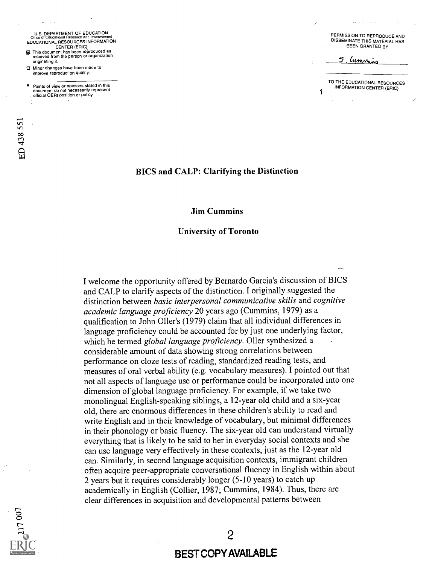U.S. DEPARTMENT OF EDUCATION Office of Educational Research and Improvement EDUCATIONAL RESOURCES INFORMATION CENTER (ERIC)

- fg This document has been reproduced as received from the person or organization originating it.
- Minor changes have been made to improve reproduction quality.

FD 438 551

Points of view or opinions stated in this n die twee vollen van die eerste van die besteen die verskeie van die verskeie van die verskeie van die verske<br>document do not necessarily represent . official OERI position or policy.

PERMISSION TO REPRODUCE AND DISSEMINATE THIS MATERIAL HAS BEEN GRANTED BY

Lummins

TO THE EDUCATIONAL RESOURCES INFORMATION CENTER (ERIC)

### BICS and CALP: Clarifying the Distinction

#### Jim Cummins

#### University of Toronto

I welcome the opportunity offered by Bernardo Garcia's discussion of BICS and CALP to clarify aspects of the distinction. I originally suggested the distinction between basic interpersonal communicative skills and cognitive academic language proficiency 20 years ago (Cummins, 1979) as a qualification to John 011er's (1979) claim that all individual differences in language proficiency could be accounted for by just one underlying factor, which he termed global language proficiency. Oller synthesized a considerable amount of data showing strong correlations between performance on cloze tests of reading, standardized reading tests, and measures of oral verbal ability (e.g. vocabulary measures). I pointed out that not all aspects of language use or performance could be incorporated into one dimension of global language proficiency. For example, if we take two monolingual English-speaking siblings, a 12-year old child and a six-year old, there are enormous differences in these children's ability to read and write English and in their knowledge of vocabulary, but minimal differences in their phonology or basic fluency. The six-year old can understand virtually everything that is likely to be said to her in everyday social contexts and she can use language very effectively in these contexts, just as the 12-year old can. Similarly, in second language acquisition contexts, immigrant children often acquire peer-appropriate conversational fluency in English within about 2 years but it requires considerably longer (5-10 years) to catch up academically in English (Collier, 1987; Cummins, 1984). Thus, there are clear differences in acquisition and developmental patterns between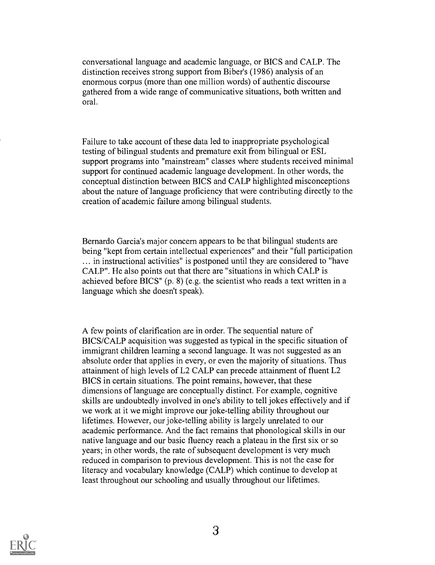conversational language and academic language, or BICS and CALP. The distinction receives strong support from Biber's (1986) analysis of an enormous corpus (more than one million words) of authentic discourse gathered from a wide range of communicative situations, both written and oral.

Failure to take account of these data led to inappropriate psychological testing of bilingual students and premature exit from bilingual or ESL support programs into "mainstream" classes where students received minimal support for continued academic language development. In other words, the conceptual distinction between BICS and CALP highlighted misconceptions about the nature of language proficiency that were contributing directly to the creation of academic failure among bilingual students.

Bernardo Garcia's major concern appears to be that bilingual students are being "kept from certain intellectual experiences" and their "full participation ... in instructional activities" is postponed until they are considered to "have CALP". He also points out that there are "situations in which CALP is achieved before BICS" (p. 8) (e.g. the scientist who reads a text written in a language which she doesn't speak).

A few points of clarification are in order. The sequential nature of BICS/CALP acquisition was suggested as typical in the specific situation of immigrant children learning a second language. It was not suggested as an absolute order that applies in every, or even the majority of situations. Thus attainment of high levels of L2 CALP can precede attainment of fluent L2 BICS in certain situations. The point remains, however, that these dimensions of language are conceptually distinct. For example, cognitive skills are undoubtedly involved in one's ability to tell jokes effectively and if we work at it we might improve our joke-telling ability throughout our lifetimes. However, our joke-telling ability is largely unrelated to our academic performance. And the fact remains that phonological skills in our native language and our basic fluency reach a plateau in the first six or so years; in other words, the rate of subsequent development is very much reduced in comparison to previous development. This is not the case for literacy and vocabulary knowledge (CALP) which continue to develop at least throughout our schooling and usually throughout our lifetimes.

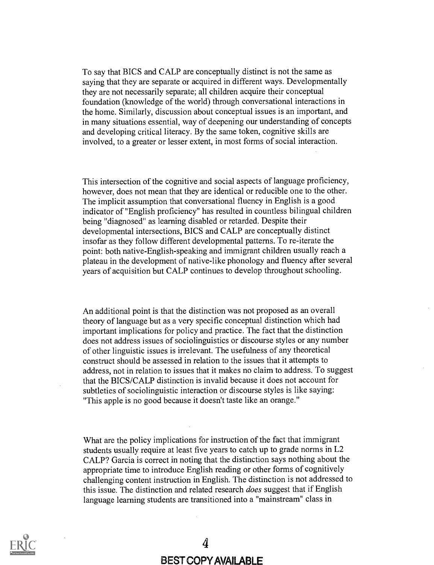To say that BICS and CALP are conceptually distinct is not the same as saying that they are separate or acquired in different ways. Developmentally they are not necessarily separate; all children acquire their conceptual foundation (knowledge of the world) through conversational interactions in the home. Similarly, discussion about conceptual issues is an important, and in many situations essential, way of deepening our understanding of concepts and developing critical literacy. By the same token, cognitive skills are involved, to a greater or lesser extent, in most forms of social interaction.

This intersection of the cognitive and social aspects of language proficiency, however, does not mean that they are identical or reducible one to the other. The implicit assumption that conversational fluency in English is a good indicator of "English proficiency" has resulted in countless bilingual children being "diagnosed" as learning disabled or retarded. Despite their developmental intersections, BICS and CALP are conceptually distinct insofar as they follow different developmental patterns. To re-iterate the point: both native-English-speaking and immigrant children usually reach a plateau in the development of native-like phonology and fluency after several years of acquisition but CALP continues to develop throughout schooling.

An additional point is that the distinction was not proposed as an overall theory of language but as a very specific conceptual distinction which had important implications for policy and practice. The fact that the distinction does not address issues of sociolinguistics or discourse styles or any number of other linguistic issues is irrelevant. The usefulness of any theoretical construct should be assessed in relation to the issues that it attempts to address, not in relation to issues that it makes no claim to address. To suggest that the BICS/CALP distinction is invalid because it does not account for subtleties of sociolinguistic interaction or discourse styles is like saying: "This apple is no good because it doesn't taste like an orange."

What are the policy implications for instruction of the fact that immigrant students usually require at least five years to catch up to grade norms in L2 CALP? Garcia is correct in noting that the distinction says nothing about the appropriate time to introduce English reading or other forms of cognitively challenging content instruction in English. The distinction is not addressed to this issue. The distinction and related research *does* suggest that if English language learning students are transitioned into a "mainstream" class in

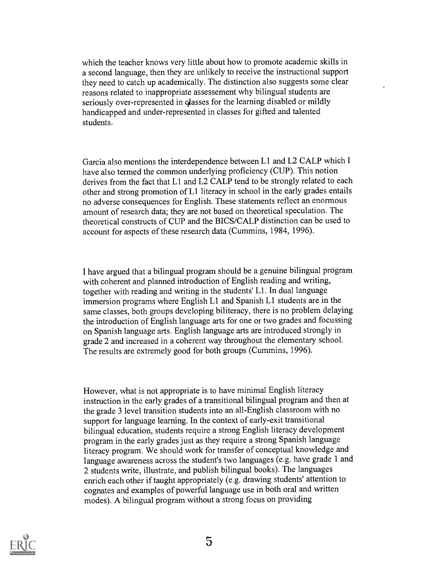which the teacher knows very little about how to promote academic skills in a second language, then they are unlikely to receive the instructional support they need to catch up academically. The distinction also suggests some clear reasons related to inappropriate assessement why bilingual students are seriously over-represented in classes for the learning disabled or mildly handicapped and under-represented in classes for gifted and talented students.

Garcia also mentions the interdependence between L1 and L2 CALP which I have also termed the common underlying proficiency (CUP). This notion derives from the fact that L1 and L2 CALP tend to be strongly related to each other and strong promotion of L1 literacy in school in the early grades entails no adverse consequences for English. These statements reflect an enormous amount of research data; they are not based on theoretical speculation. The theoretical constructs of CUP and the BICS/CALP distinction can be used to account for aspects of these research data (Cummins, 1984, 1996).

I have argued that a bilingual program should be a genuine bilingual program with coherent and planned introduction of English reading and writing, together with reading and writing in the students' Ll. In dual language immersion programs where English Ll and Spanish Ll students are in the same classes, both groups developing biliteracy, there is no problem delaying the introduction of English language arts for one or two grades and focussing on Spanish language arts. English language arts are introduced strongly in grade 2 and increased in a coherent way throughout the elementary school. The results are extremely good for both groups (Cummins, 1996).

However, what is not appropriate is to have minimal English literacy instruction in the early grades of a transitional bilingual program and then at the grade 3 level transition students into an all-English classroom with no support for language learning. In the context of early-exit transitional bilingual education, students require a strong English literacy development program in the early grades just as they require a strong Spanish language literacy program. We should work for transfer of conceptual knowledge and language awareness across the student's two languages (e.g. have grade 1 and 2 students write, illustrate, and publish bilingual books). The languages enrich each other if taught appropriately (e.g. drawing students' attention to cognates and examples of powerful language use in both oral and written modes). A bilingual program without a strong focus on providing

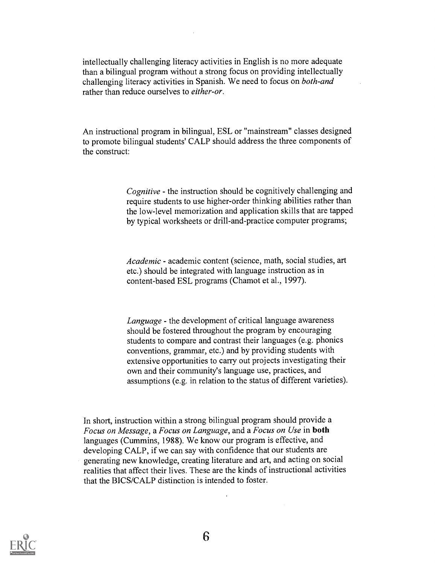intellectually challenging literacy activities in English is no more adequate than a bilingual program without a strong focus on providing intellectually challenging literacy activities in Spanish. We need to focus on both-and rather than reduce ourselves to either-or.

An instructional program in bilingual, ESL or "mainstream" classes designed to promote bilingual students' CALP should address the three components of the construct:

> Cognitive - the instruction should be cognitively challenging and require students to use higher-order thinking abilities rather than the low-level memorization and application skills that are tapped by typical worksheets or drill-and-practice computer programs;

Academic - academic content (science, math, social studies, art etc.) should be integrated with language instruction as in content-based ESL programs (Chamot et al., 1997).

Language - the development of critical language awareness should be fostered throughout the program by encouraging students to compare and contrast their languages (e.g. phonics conventions, grammar, etc.) and by providing students with extensive opportunities to carry out projects investigating their own and their community's language use, practices, and assumptions (e.g. in relation to the status of different varieties).

In short, instruction within a strong bilingual program should provide a Focus on Message, a Focus on Language, and a Focus on Use in both languages (Cummins, 1988). We know our program is effective, and developing CALP, if we can say with confidence that our students are generating new knowledge, creating literature and art, and acting on social realities that affect their lives. These are the kinds of instructional activities that the BICS/CALP distinction is intended to foster.

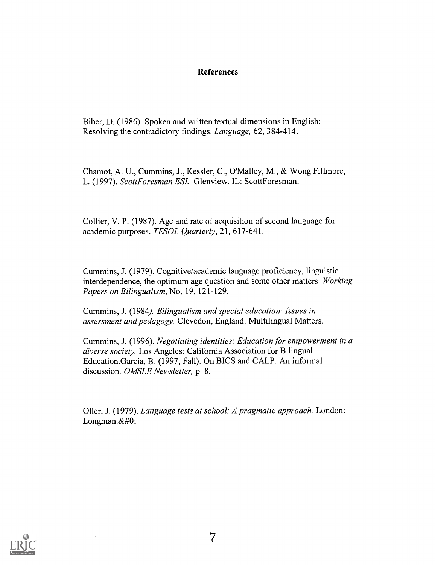### **References**

Biber, D. (1986). Spoken and written textual dimensions in English: Resolving the contradictory findings. Language, 62, 384-414.

Chamot, A. U., Cummins, J., Kessler, C., O'Malley, M., & Wong Fillmore, L. (1997). ScottForesman ESL. Glenview, IL: ScottForesman.

Collier, V. P. (1987). Age and rate of acquisition of second language for academic purposes. TESOL Quarterly, 21, 617-641.

Cummins, J. (1979). Cognitive/academic language proficiency, linguistic interdependence, the optimum age question and some other matters. Working Papers on Bilingualism, No. 19, 121-129.

Cummins, J. (1984). Bilingualism and special education: Issues in assessment and pedagogy. Clevedon, England: Multilingual Matters.

Cummins, J. (1996). Negotiating identities: Education for empowerment in a diverse society. Los Angeles: California Association for Bilingual Education.Garcia, B. (1997, Fall). On BICS and CALP: An informal discussion. OMSLE Newsletter, p. 8.

Oiler, J. (1979). Language tests at school: A pragmatic approach. London: Longman. $&\#0;$ 

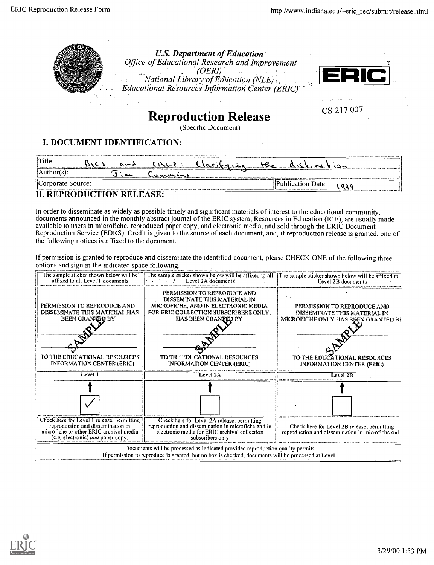

Reproduction Release

(Specific Document)

## I. DOCUMENT IDENTIFICATION:

| Title.               | $\sim$ | $M_{\odot}$     | Clarity | F | $\Delta$ . $\mathbf{r}$ . $\mathbf{r}$ | $k_{12}$ |
|----------------------|--------|-----------------|---------|---|----------------------------------------|----------|
| $\forall$ Author(s): | $\sim$ | ل رو مد مد منده |         |   |                                        |          |
| Corporate Source:    |        |                 |         |   | Publication Date:                      |          |
|                      |        |                 |         |   |                                        |          |

II. REPRODUCTION RELEASE:

In order to disseminate as widely as possible timely and significant materials of interest to the educational community, documents announced in the monthly abstract journal of the ERIC system, Resources in Education (RIE), are usually made available to users in microfiche, reproduced paper copy, and electronic media, and sold through the ERIC Document Reproduction Service (EDRS). Credit is given to the source of each document, and, if reproduction release is granted, one of the following notices is affixed to the document.

If permission is granted to reproduce and disseminate the identified document, please CHECK ONE of the following three options and sign in the indicated space following.